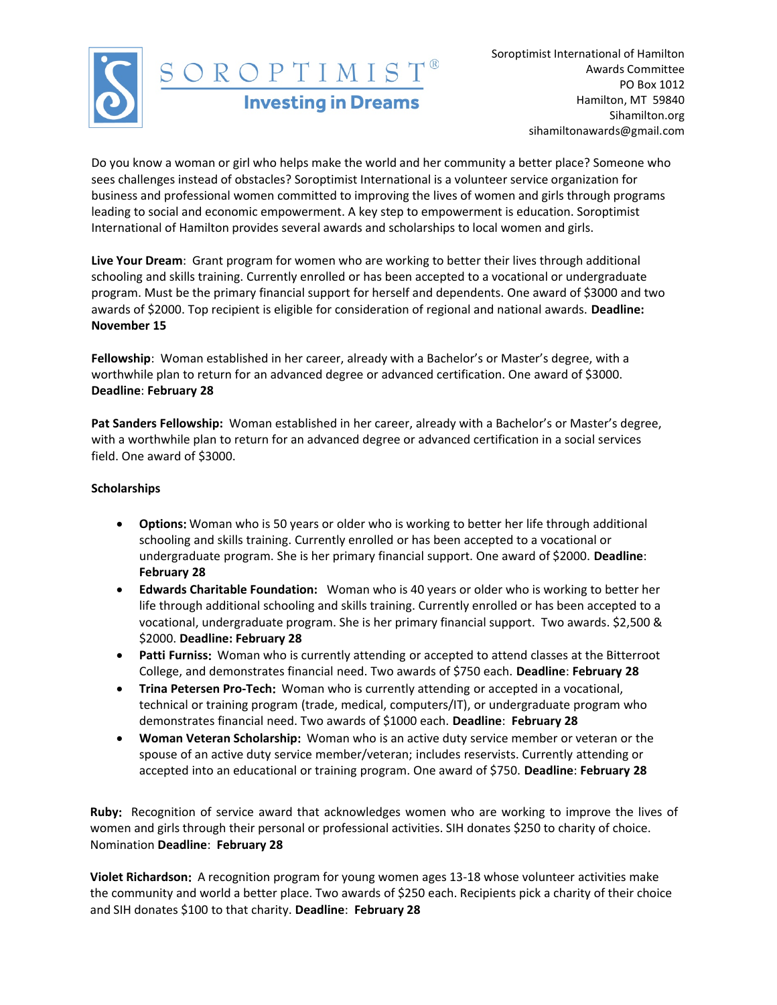

Soroptimist International of Hamilton Awards Committee PO Box 1012 Hamilton, MT 59840 Sihamilton.org sihamiltonawards@gmail.com

Do you know a woman or girl who helps make the world and her community a better place? Someone who sees challenges instead of obstacles? Soroptimist International is a volunteer service organization for business and professional women committed to improving the lives of women and girls through programs leading to social and economic empowerment. A key step to empowerment is education. Soroptimist International of Hamilton provides several awards and scholarships to local women and girls.

Live Your Dream: Grant program for women who are working to better their lives through additional schooling and skills training. Currently enrolled or has been accepted to a vocational or undergraduate program. Must be the primary financial support for herself and dependents. One award of \$3000 and two awards of \$2000. Top recipient is eligible for consideration of regional and national awards. Deadline: November 15

Fellowship: Woman established in her career, already with a Bachelor's or Master's degree, with a worthwhile plan to return for an advanced degree or advanced certification. One award of \$3000. Deadline: February 28

**Pat Sanders Fellowship:** Woman established in her career, already with a Bachelor's or Master's degree, with a worthwhile plan to return for an advanced degree or advanced certification in a social services field. One award of \$3000.

## Scholarships

- **•** Options: Woman who is 50 years or older who is working to better her life through additional schooling and skills training. Currently enrolled or has been accepted to a vocational or undergraduate program. She is her primary financial support. One award of \$2000. Deadline: February 28
- **Edwards Charitable Foundation:** Woman who is 40 years or older who is working to better her life through additional schooling and skills training. Currently enrolled or has been accepted to a vocational, undergraduate program. She is her primary financial support. Two awards. \$2,500 & \$2000. **Deadline: February 28**
- Patti Furniss: Woman who is currently attending or accepted to attend classes at the Bitterroot College, and demonstrates financial need. Two awards of \$750 each. Deadline: February 28
- **Trina Petersen** Pro-Tech: Woman who is currently attending or accepted in a vocational, technical or training program (trade, medical, computers/IT), or undergraduate program who demonstrates financial need. Two awards of \$1000 each. Deadline: February 28
- Woman Veteran Scholarship: Woman who is an active duty service member or veteran or the spouse of an active duty service member/veteran; includes reservists. Currently attending or accepted into an educational or training program. One award of \$750. Deadline: February 28

Ruby: Recognition of service award that acknowledges women who are working to improve the lives of women and girls through their personal or professional activities. SIH donates \$250 to charity of choice. Nomination Deadline: February 28

Violet Richardson: A recognition program for young women ages 13-18 whose volunteer activities make the community and world a better place. Two awards of \$250 each. Recipients pick a charity of their choice and SIH donates \$100 to that charity. Deadline: February 28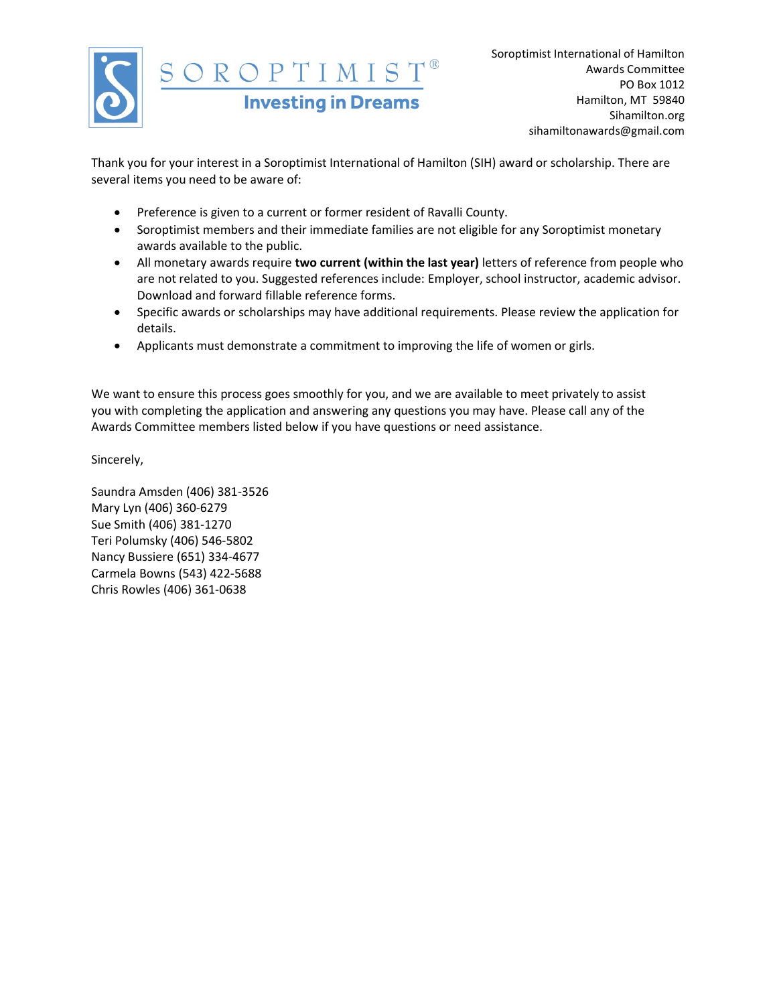

Thank you for your interest in a Soroptimist International of Hamilton (SIH) award or scholarship. There are several items you need to be aware of:

- Preference is given to a current or former resident of Ravalli County.
- Soroptimist members and their immediate families are not eligible for any Soroptimist monetary awards available to the public.
- All monetary awards require two current (within the last year) letters of reference from people who are not related to you. Suggested references include: Employer, school instructor, academic advisor. Download and forward fillable reference forms.
- Specific awards or scholarships may have additional requirements. Please review the application for details.
- Applicants must demonstrate a commitment to improving the life of women or girls.

We want to ensure this process goes smoothly for you, and we are available to meet privately to assist you with completing the application and answering any questions you may have. Please call any of the Awards Committee members listed below if you have questions or need assistance.

Sincerely,

Saundra Amsden (406) 381-3526 Mary Lyn (406) 360-6279 Sue Smith (406) 381-1270 Teri Polumsky (406) 546-5802 Nancy Bussiere (651) 334-4677 Carmela Bowns (543) 422-5688 Chris Rowles (406) 361-0638